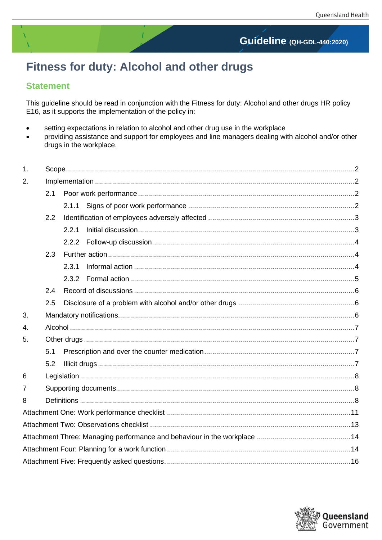Guideline (QH-GDL-440:2020)

# **Fitness for duty: Alcohol and other drugs**

# **Statement**

This guideline should be read in conjunction with the Fitness for duty: Alcohol and other drugs HR policy E16, as it supports the implementation of the policy in:

- setting expectations in relation to alcohol and other drug use in the workplace  $\bullet$
- providing assistance and support for employees and line managers dealing with alcohol and/or other  $\bullet$ drugs in the workplace.

| $\mathbf{1}$ . |     |       |  |  |  |
|----------------|-----|-------|--|--|--|
| 2.             |     |       |  |  |  |
|                | 2.1 |       |  |  |  |
|                |     |       |  |  |  |
|                | 2.2 |       |  |  |  |
|                |     | 2.2.1 |  |  |  |
|                |     | 2.2.2 |  |  |  |
|                | 2.3 |       |  |  |  |
|                |     | 2.3.1 |  |  |  |
|                |     |       |  |  |  |
|                | 2.4 |       |  |  |  |
|                | 2.5 |       |  |  |  |
| 3.             |     |       |  |  |  |
| 4.             |     |       |  |  |  |
| 5.             |     |       |  |  |  |
|                | 5.1 |       |  |  |  |
|                | 5.2 |       |  |  |  |
| 6              |     |       |  |  |  |
| 7              |     |       |  |  |  |
| 8              |     |       |  |  |  |
|                |     |       |  |  |  |
|                |     |       |  |  |  |
|                |     |       |  |  |  |
|                |     |       |  |  |  |
|                |     |       |  |  |  |

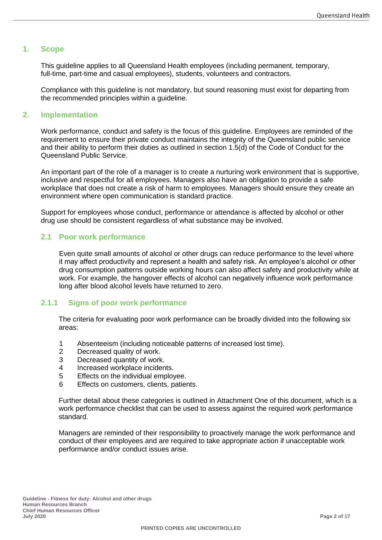#### <span id="page-1-0"></span>**1. Scope**

This guideline applies to all Queensland Health employees (including permanent, temporary, full-time, part-time and casual employees), students, volunteers and contractors.

Compliance with this guideline is not mandatory, but sound reasoning must exist for departing from the recommended principles within a guideline.

#### <span id="page-1-1"></span>**2. Implementation**

Work performance, conduct and safety is the focus of this guideline. Employees are reminded of the requirement to ensure their private conduct maintains the integrity of the Queensland public service and their ability to perform their duties as outlined in section 1.5(d) of the Code of Conduct for the Queensland Public Service.

An important part of the role of a manager is to create a nurturing work environment that is supportive, inclusive and respectful for all employees. Managers also have an obligation to provide a safe workplace that does not create a risk of harm to employees. Managers should ensure they create an environment where open communication is standard practice.

Support for employees whose conduct, performance or attendance is affected by alcohol or other drug use should be consistent regardless of what substance may be involved.

#### <span id="page-1-2"></span>**2.1 Poor work performance**

Even quite small amounts of alcohol or other drugs can reduce performance to the level where it may affect productivity and represent a health and safety risk. An employee's alcohol or other drug consumption patterns outside working hours can also affect safety and productivity while at work. For example, the hangover effects of alcohol can negatively influence work performance long after blood alcohol levels have returned to zero.

#### <span id="page-1-3"></span>**2.1.1 Signs of poor work performance**

The criteria for evaluating poor work performance can be broadly divided into the following six areas:

- 1 Absenteeism (including noticeable patterns of increased lost time).
- 2 Decreased quality of work.
- 3 Decreased quantity of work.
- 4 Increased workplace incidents.<br>5 Effects on the individual employ
- Effects on the individual employee.
- 6 Effects on customers, clients, patients.

Further detail about these categories is outlined in Attachment One of this document, which is a work performance checklist that can be used to assess against the required work performance standard.

Managers are reminded of their responsibility to proactively manage the work performance and conduct of their employees and are required to take appropriate action if unacceptable work performance and/or conduct issues arise.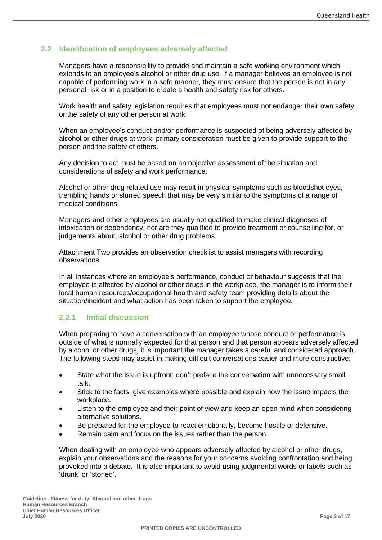# <span id="page-2-0"></span>**2.2 Identification of employees adversely affected**

Managers have a responsibility to provide and maintain a safe working environment which extends to an employee's alcohol or other drug use. If a manager believes an employee is not capable of performing work in a safe manner, they must ensure that the person is not in any personal risk or in a position to create a health and safety risk for others.

Work health and safety legislation requires that employees must not endanger their own safety or the safety of any other person at work.

When an employee's conduct and/or performance is suspected of being adversely affected by alcohol or other drugs at work, primary consideration must be given to provide support to the person and the safety of others.

Any decision to act must be based on an objective assessment of the situation and considerations of safety and work performance.

Alcohol or other drug related use may result in physical symptoms such as bloodshot eyes, trembling hands or slurred speech that may be very similar to the symptoms of a range of medical conditions.

Managers and other employees are usually not qualified to make clinical diagnoses of intoxication or dependency, nor are they qualified to provide treatment or counselling for, or judgements about, alcohol or other drug problems.

Attachment Two provides an observation checklist to assist managers with recording observations.

In all instances where an employee's performance, conduct or behaviour suggests that the employee is affected by alcohol or other drugs in the workplace, the manager is to inform their local human resources/occupational health and safety team providing details about the situation/incident and what action has been taken to support the employee.

## <span id="page-2-1"></span>**2.2.1 Initial discussion**

When preparing to have a conversation with an employee whose conduct or performance is outside of what is normally expected for that person and that person appears adversely affected by alcohol or other drugs, it is important the manager takes a careful and considered approach. The following steps may assist in making difficult conversations easier and more constructive:

- State what the issue is upfront; don't preface the conversation with unnecessary small talk.
- Stick to the facts, give examples where possible and explain how the issue impacts the workplace.
- Listen to the employee and their point of view and keep an open mind when considering alternative solutions.
- Be prepared for the employee to react emotionally, become hostile or defensive.
- Remain calm and focus on the issues rather than the person.

When dealing with an employee who appears adversely affected by alcohol or other drugs, explain your observations and the reasons for your concerns avoiding confrontation and being provoked into a debate. It is also important to avoid using judgmental words or labels such as 'drunk' or 'stoned'.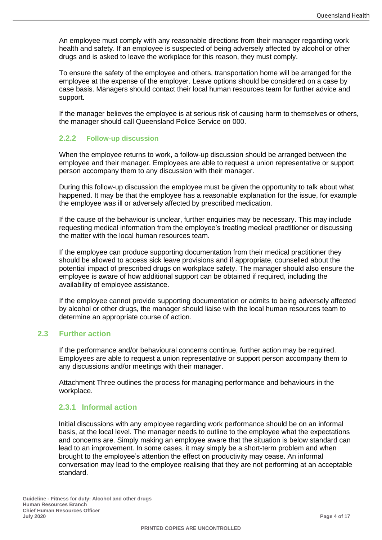An employee must comply with any reasonable directions from their manager regarding work health and safety. If an employee is suspected of being adversely affected by alcohol or other drugs and is asked to leave the workplace for this reason, they must comply.

To ensure the safety of the employee and others, transportation home will be arranged for the employee at the expense of the employer. Leave options should be considered on a case by case basis. Managers should contact their local human resources team for further advice and support.

If the manager believes the employee is at serious risk of causing harm to themselves or others, the manager should call Queensland Police Service on 000.

#### <span id="page-3-0"></span>**2.2.2 Follow-up discussion**

When the employee returns to work, a follow-up discussion should be arranged between the employee and their manager. Employees are able to request a union representative or support person accompany them to any discussion with their manager.

During this follow-up discussion the employee must be given the opportunity to talk about what happened. It may be that the employee has a reasonable explanation for the issue, for example the employee was ill or adversely affected by prescribed medication.

If the cause of the behaviour is unclear, further enquiries may be necessary. This may include requesting medical information from the employee's treating medical practitioner or discussing the matter with the local human resources team.

If the employee can produce supporting documentation from their medical practitioner they should be allowed to access sick leave provisions and if appropriate, counselled about the potential impact of prescribed drugs on workplace safety. The manager should also ensure the employee is aware of how additional support can be obtained if required, including the availability of employee assistance.

If the employee cannot provide supporting documentation or admits to being adversely affected by alcohol or other drugs, the manager should liaise with the local human resources team to determine an appropriate course of action.

#### <span id="page-3-1"></span>**2.3 Further action**

If the performance and/or behavioural concerns continue, further action may be required. Employees are able to request a union representative or support person accompany them to any discussions and/or meetings with their manager.

Attachment Three outlines the process for managing performance and behaviours in the workplace.

## <span id="page-3-2"></span>**2.3.1 Informal action**

Initial discussions with any employee regarding work performance should be on an informal basis, at the local level. The manager needs to outline to the employee what the expectations and concerns are. Simply making an employee aware that the situation is below standard can lead to an improvement. In some cases, it may simply be a short-term problem and when brought to the employee's attention the effect on productivity may cease. An informal conversation may lead to the employee realising that they are not performing at an acceptable standard.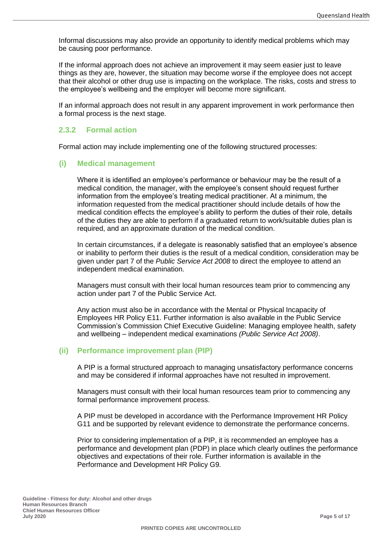Informal discussions may also provide an opportunity to identify medical problems which may be causing poor performance.

If the informal approach does not achieve an improvement it may seem easier just to leave things as they are, however, the situation may become worse if the employee does not accept that their alcohol or other drug use is impacting on the workplace. The risks, costs and stress to the employee's wellbeing and the employer will become more significant.

If an informal approach does not result in any apparent improvement in work performance then a formal process is the next stage.

#### <span id="page-4-0"></span>**2.3.2 Formal action**

Formal action may include implementing one of the following structured processes:

#### **(i) Medical management**

Where it is identified an employee's performance or behaviour may be the result of a medical condition, the manager, with the employee's consent should request further information from the employee's treating medical practitioner. At a minimum, the information requested from the medical practitioner should include details of how the medical condition effects the employee's ability to perform the duties of their role, details of the duties they are able to perform if a graduated return to work/suitable duties plan is required, and an approximate duration of the medical condition.

In certain circumstances, if a delegate is reasonably satisfied that an employee's absence or inability to perform their duties is the result of a medical condition, consideration may be given under part 7 of the *Public Service Act 2008* to direct the employee to attend an independent medical examination.

Managers must consult with their local human resources team prior to commencing any action under part 7 of the Public Service Act.

Any action must also be in accordance with the Mental or Physical Incapacity of Employees HR Policy E11. Further information is also available in the Public Service Commission's Commission Chief Executive Guideline: Managing employee health, safety and wellbeing – independent medical examinations *(Public Service Act 2008)*.

## **(ii) Performance improvement plan (PIP)**

A PIP is a formal structured approach to managing unsatisfactory performance concerns and may be considered if informal approaches have not resulted in improvement.

Managers must consult with their local human resources team prior to commencing any formal performance improvement process.

A PIP must be developed in accordance with the Performance Improvement HR Policy G11 and be supported by relevant evidence to demonstrate the performance concerns.

Prior to considering implementation of a PIP, it is recommended an employee has a performance and development plan (PDP) in place which clearly outlines the performance objectives and expectations of their role. Further information is available in the Performance and Development HR Policy G9*.*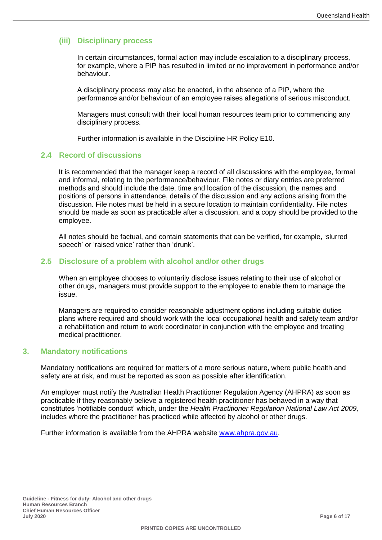### **(iii) Disciplinary process**

In certain circumstances, formal action may include escalation to a disciplinary process, for example, where a PIP has resulted in limited or no improvement in performance and/or behaviour.

A disciplinary process may also be enacted, in the absence of a PIP, where the performance and/or behaviour of an employee raises allegations of serious misconduct.

Managers must consult with their local human resources team prior to commencing any disciplinary process.

Further information is available in the Discipline HR Policy E10.

#### <span id="page-5-0"></span>**2.4 Record of discussions**

It is recommended that the manager keep a record of all discussions with the employee, formal and informal, relating to the performance/behaviour. File notes or diary entries are preferred methods and should include the date, time and location of the discussion, the names and positions of persons in attendance, details of the discussion and any actions arising from the discussion. File notes must be held in a secure location to maintain confidentiality. File notes should be made as soon as practicable after a discussion, and a copy should be provided to the employee.

All notes should be factual, and contain statements that can be verified, for example, 'slurred speech' or 'raised voice' rather than 'drunk'.

#### <span id="page-5-1"></span>**2.5 Disclosure of a problem with alcohol and/or other drugs**

When an employee chooses to voluntarily disclose issues relating to their use of alcohol or other drugs, managers must provide support to the employee to enable them to manage the issue.

Managers are required to consider reasonable adjustment options including suitable duties plans where required and should work with the local occupational health and safety team and/or a rehabilitation and return to work coordinator in conjunction with the employee and treating medical practitioner.

#### <span id="page-5-2"></span>**3. Mandatory notifications**

Mandatory notifications are required for matters of a more serious nature, where public health and safety are at risk, and must be reported as soon as possible after identification.

An employer must notify the Australian Health Practitioner Regulation Agency (AHPRA) as soon as practicable if they reasonably believe a registered health practitioner has behaved in a way that constitutes 'notifiable conduct' which, under the *Health Practitioner Regulation National Law Act 2009,*  includes where the practitioner has practiced while affected by alcohol or other drugs.

Further information is available from the AHPRA website [www.ahpra.gov.au.](http://www.ahpra.gov.au/)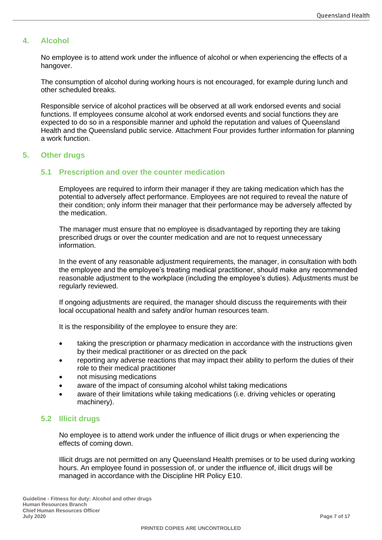## <span id="page-6-0"></span>**4. Alcohol**

No employee is to attend work under the influence of alcohol or when experiencing the effects of a hangover.

The consumption of alcohol during working hours is not encouraged, for example during lunch and other scheduled breaks.

Responsible service of alcohol practices will be observed at all work endorsed events and social functions. If employees consume alcohol at work endorsed events and social functions they are expected to do so in a responsible manner and uphold the reputation and values of Queensland Health and the Queensland public service. Attachment Four provides further information for planning a work function.

#### <span id="page-6-2"></span><span id="page-6-1"></span>**5. Other drugs**

#### **5.1 Prescription and over the counter medication**

Employees are required to inform their manager if they are taking medication which has the potential to adversely affect performance. Employees are not required to reveal the nature of their condition; only inform their manager that their performance may be adversely affected by the medication.

The manager must ensure that no employee is disadvantaged by reporting they are taking prescribed drugs or over the counter medication and are not to request unnecessary information.

In the event of any reasonable adjustment requirements, the manager, in consultation with both the employee and the employee's treating medical practitioner, should make any recommended reasonable adjustment to the workplace (including the employee's duties). Adjustments must be regularly reviewed.

If ongoing adjustments are required, the manager should discuss the requirements with their local occupational health and safety and/or human resources team.

It is the responsibility of the employee to ensure they are:

- taking the prescription or pharmacy medication in accordance with the instructions given by their medical practitioner or as directed on the pack
- reporting any adverse reactions that may impact their ability to perform the duties of their role to their medical practitioner
- not misusing medications
- aware of the impact of consuming alcohol whilst taking medications
- aware of their limitations while taking medications (i.e. driving vehicles or operating machinery).

#### <span id="page-6-3"></span>**5.2 Illicit drugs**

No employee is to attend work under the influence of illicit drugs or when experiencing the effects of coming down.

Illicit drugs are not permitted on any Queensland Health premises or to be used during working hours. An employee found in possession of, or under the influence of, illicit drugs will be managed in accordance with the Discipline HR Policy E10.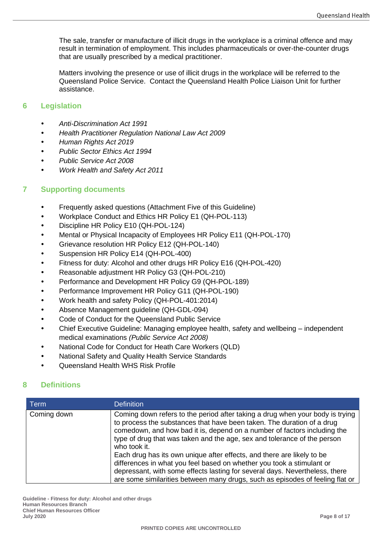The sale, transfer or manufacture of illicit drugs in the workplace is a criminal offence and may result in termination of employment. This includes pharmaceuticals or over-the-counter drugs that are usually prescribed by a medical practitioner.

Matters involving the presence or use of illicit drugs in the workplace will be referred to the Queensland Police Service. Contact the Queensland Health Police Liaison Unit for further assistance.

#### <span id="page-7-0"></span>**6 Legislation**

- *Anti-Discrimination Act 1991*
- *Health Practitioner Regulation National Law Act 2009*
- *Human Rights Act 2019*
- *Public Sector Ethics Act 1994*
- *Public Service Act 2008*
- *Work Health and Safety Act 2011*

## <span id="page-7-1"></span>**7 Supporting documents**

- Frequently asked questions (Attachment Five of this Guideline)
- Workplace Conduct and Ethics HR Policy E1 (QH-POL-113)
- Discipline HR Policy E10 (QH-POL-124)
- Mental or Physical Incapacity of Employees HR Policy E11 (QH-POL-170)
- Grievance resolution HR Policy E12 (QH-POL-140)
- Suspension HR Policy E14 (QH-POL-400)
- Fitness for duty: Alcohol and other drugs HR Policy E16 (QH-POL-420)
- Reasonable adjustment HR Policy G3 (QH-POL-210)
- Performance and Development HR Policy G9 (QH-POL-189)
- Performance Improvement HR Policy G11 (QH-POL-190)
- Work health and safety Policy (QH-POL-401:2014)
- Absence Management guideline (QH-GDL-094)
- Code of Conduct for the Queensland Public Service
- Chief Executive Guideline: Managing employee health, safety and wellbeing independent medical examinations *(Public Service Act 2008)*
- [National Code for Conduct for Heath Care Workers \(QLD\)](https://www.health.qld.gov.au/publications/system-governance/policies-standards/national-code-conduct-health-workers.pdf)
- [National Safety and Quality Health Service Standards](http://www.safetyandquality.gov.au/wp-content/uploads/2011/09/NSQHS-Standards-Sept-2012.pdf)
- [Queensland Health WHS Risk Profile](http://qheps.health.qld.gov.au/safety/sms/risk-profile.htm)

# <span id="page-7-2"></span>**8 Definitions**

| <b>Term</b> | <b>Definition</b>                                                                                                                                                                                                                                                                                                                                                                                                                                                                                                                                                                                                                                  |
|-------------|----------------------------------------------------------------------------------------------------------------------------------------------------------------------------------------------------------------------------------------------------------------------------------------------------------------------------------------------------------------------------------------------------------------------------------------------------------------------------------------------------------------------------------------------------------------------------------------------------------------------------------------------------|
| Coming down | Coming down refers to the period after taking a drug when your body is trying<br>to process the substances that have been taken. The duration of a drug<br>comedown, and how bad it is, depend on a number of factors including the<br>type of drug that was taken and the age, sex and tolerance of the person<br>who took it.<br>Each drug has its own unique after effects, and there are likely to be<br>differences in what you feel based on whether you took a stimulant or<br>depressant, with some effects lasting for several days. Nevertheless, there<br>are some similarities between many drugs, such as episodes of feeling flat or |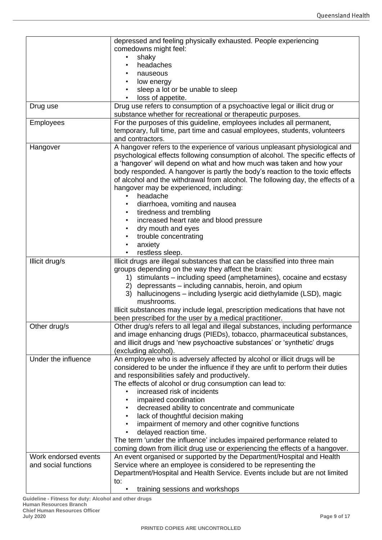|                      | depressed and feeling physically exhausted. People experiencing                                                                          |  |  |  |
|----------------------|------------------------------------------------------------------------------------------------------------------------------------------|--|--|--|
|                      | comedowns might feel:                                                                                                                    |  |  |  |
|                      | shaky                                                                                                                                    |  |  |  |
|                      | headaches                                                                                                                                |  |  |  |
|                      | nauseous                                                                                                                                 |  |  |  |
|                      | low energy                                                                                                                               |  |  |  |
|                      | sleep a lot or be unable to sleep                                                                                                        |  |  |  |
|                      |                                                                                                                                          |  |  |  |
|                      | loss of appetite.                                                                                                                        |  |  |  |
| Drug use             | Drug use refers to consumption of a psychoactive legal or illicit drug or<br>substance whether for recreational or therapeutic purposes. |  |  |  |
| <b>Employees</b>     | For the purposes of this guideline, employees includes all permanent,                                                                    |  |  |  |
|                      | temporary, full time, part time and casual employees, students, volunteers                                                               |  |  |  |
|                      | and contractors.                                                                                                                         |  |  |  |
| Hangover             | A hangover refers to the experience of various unpleasant physiological and                                                              |  |  |  |
|                      | psychological effects following consumption of alcohol. The specific effects of                                                          |  |  |  |
|                      | a 'hangover' will depend on what and how much was taken and how your                                                                     |  |  |  |
|                      |                                                                                                                                          |  |  |  |
|                      | body responded. A hangover is partly the body's reaction to the toxic effects                                                            |  |  |  |
|                      | of alcohol and the withdrawal from alcohol. The following day, the effects of a                                                          |  |  |  |
|                      | hangover may be experienced, including:                                                                                                  |  |  |  |
|                      | headache<br>$\bullet$                                                                                                                    |  |  |  |
|                      | diarrhoea, vomiting and nausea                                                                                                           |  |  |  |
|                      | tiredness and trembling                                                                                                                  |  |  |  |
|                      | increased heart rate and blood pressure                                                                                                  |  |  |  |
|                      | dry mouth and eyes<br>٠                                                                                                                  |  |  |  |
|                      | trouble concentrating<br>$\bullet$                                                                                                       |  |  |  |
|                      | anxiety<br>$\bullet$                                                                                                                     |  |  |  |
|                      | restless sleep.                                                                                                                          |  |  |  |
| Illicit drug/s       | Illicit drugs are illegal substances that can be classified into three main                                                              |  |  |  |
|                      | groups depending on the way they affect the brain:                                                                                       |  |  |  |
|                      | 1) stimulants – including speed (amphetamines), cocaine and ecstasy                                                                      |  |  |  |
|                      |                                                                                                                                          |  |  |  |
|                      | 2) depressants - including cannabis, heroin, and opium                                                                                   |  |  |  |
|                      | 3) hallucinogens – including lysergic acid diethylamide (LSD), magic                                                                     |  |  |  |
|                      | mushrooms.                                                                                                                               |  |  |  |
|                      | Illicit substances may include legal, prescription medications that have not                                                             |  |  |  |
|                      | been prescribed for the user by a medical practitioner.                                                                                  |  |  |  |
| Other drug/s         | Other drug/s refers to all legal and illegal substances, including performance                                                           |  |  |  |
|                      | and image enhancing drugs (PIEDs), tobacco, pharmaceutical substances,                                                                   |  |  |  |
|                      | and illicit drugs and 'new psychoactive substances' or 'synthetic' drugs                                                                 |  |  |  |
|                      | (excluding alcohol).                                                                                                                     |  |  |  |
| Under the influence  | An employee who is adversely affected by alcohol or illicit drugs will be                                                                |  |  |  |
|                      | considered to be under the influence if they are unfit to perform their duties                                                           |  |  |  |
|                      | and responsibilities safely and productively.                                                                                            |  |  |  |
|                      | The effects of alcohol or drug consumption can lead to:                                                                                  |  |  |  |
|                      | increased risk of incidents                                                                                                              |  |  |  |
|                      |                                                                                                                                          |  |  |  |
|                      | impaired coordination                                                                                                                    |  |  |  |
|                      | decreased ability to concentrate and communicate                                                                                         |  |  |  |
|                      | lack of thoughtful decision making                                                                                                       |  |  |  |
|                      | impairment of memory and other cognitive functions                                                                                       |  |  |  |
|                      | delayed reaction time.                                                                                                                   |  |  |  |
|                      | The term 'under the influence' includes impaired performance related to                                                                  |  |  |  |
|                      | coming down from illicit drug use or experiencing the effects of a hangover.                                                             |  |  |  |
| Work endorsed events | An event organised or supported by the Department/Hospital and Health                                                                    |  |  |  |
| and social functions | Service where an employee is considered to be representing the                                                                           |  |  |  |
|                      | Department/Hospital and Health Service. Events include but are not limited                                                               |  |  |  |
|                      | to:                                                                                                                                      |  |  |  |
|                      | training sessions and workshops                                                                                                          |  |  |  |
|                      |                                                                                                                                          |  |  |  |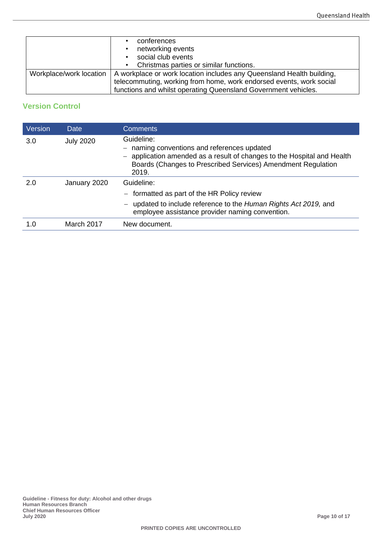|                         | conferences                                                           |  |  |
|-------------------------|-----------------------------------------------------------------------|--|--|
|                         | networking events                                                     |  |  |
|                         | social club events                                                    |  |  |
|                         | Christmas parties or similar functions.<br>$\bullet$                  |  |  |
| Workplace/work location | A workplace or work location includes any Queensland Health building, |  |  |
|                         | telecommuting, working from home, work endorsed events, work social   |  |  |
|                         | functions and whilst operating Queensland Government vehicles.        |  |  |

# **Version Control**

| Version | Date             | <b>Comments</b>                                                                                                                                                                                               |
|---------|------------------|---------------------------------------------------------------------------------------------------------------------------------------------------------------------------------------------------------------|
| 3.0     | <b>July 2020</b> | Guideline:<br>- naming conventions and references updated<br>- application amended as a result of changes to the Hospital and Health<br>Boards (Changes to Prescribed Services) Amendment Regulation<br>2019. |
| 2.0     | January 2020     | Guideline:<br>- formatted as part of the HR Policy review<br>updated to include reference to the Human Rights Act 2019, and<br>employee assistance provider naming convention.                                |
| 1.0     | March 2017       | New document.                                                                                                                                                                                                 |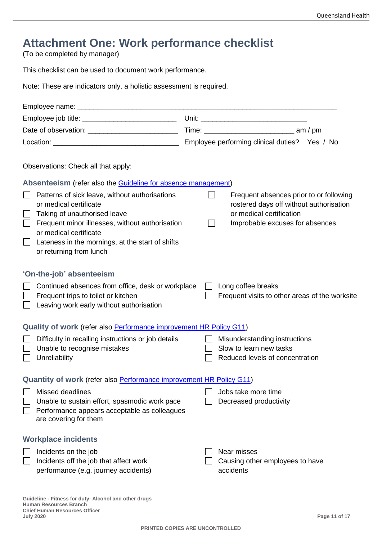# <span id="page-10-0"></span>**Attachment One: Work performance checklist**

(To be completed by manager)

**Chief Human Resources Officer**

This checklist can be used to document work performance.

Note: These are indicators only, a holistic assessment is required.

|   | Observations: Check all that apply:                                                                                                                                                                                                                                  |         |                                                                                                        |  |                                         |
|---|----------------------------------------------------------------------------------------------------------------------------------------------------------------------------------------------------------------------------------------------------------------------|---------|--------------------------------------------------------------------------------------------------------|--|-----------------------------------------|
|   | <b>Absenteeism</b> (refer also the Guideline for absence management)                                                                                                                                                                                                 |         |                                                                                                        |  |                                         |
|   | Patterns of sick leave, without authorisations<br>or medical certificate<br>Taking of unauthorised leave<br>Frequent minor illnesses, without authorisation<br>or medical certificate<br>Lateness in the mornings, at the start of shifts<br>or returning from lunch |         | rostered days off without authorisation<br>or medical certification<br>Improbable excuses for absences |  | Frequent absences prior to or following |
|   | 'On-the-job' absenteeism                                                                                                                                                                                                                                             |         |                                                                                                        |  |                                         |
|   | Continued absences from office, desk or workplace<br>Frequent trips to toilet or kitchen<br>Leaving work early without authorisation                                                                                                                                 | $\Box$  | Long coffee breaks<br>Frequent visits to other areas of the worksite                                   |  |                                         |
|   | Quality of work (refer also Performance improvement HR Policy G11)                                                                                                                                                                                                   |         |                                                                                                        |  |                                         |
|   | Difficulty in recalling instructions or job details<br>Unable to recognise mistakes<br>Unreliability                                                                                                                                                                 | $\perp$ | Misunderstanding instructions<br>Slow to learn new tasks<br>Reduced levels of concentration            |  |                                         |
|   | Quantity of work (refer also Performance improvement HR Policy G11)                                                                                                                                                                                                  |         |                                                                                                        |  |                                         |
| ─ | Missed deadlines<br>Unable to sustain effort, spasmodic work pace<br>Performance appears acceptable as colleagues<br>are covering for them                                                                                                                           |         | Jobs take more time<br>Decreased productivity                                                          |  |                                         |
|   | <b>Workplace incidents</b>                                                                                                                                                                                                                                           |         |                                                                                                        |  |                                         |
|   | Incidents on the job<br>Incidents off the job that affect work<br>performance (e.g. journey accidents)                                                                                                                                                               |         | Near misses<br>Causing other employees to have<br>accidents                                            |  |                                         |
|   | Guideline - Fitness for duty: Alcohol and other drugs<br><b>Human Resources Branch</b>                                                                                                                                                                               |         |                                                                                                        |  |                                         |

**PRINTED COPIES ARE UNCONTROLLED**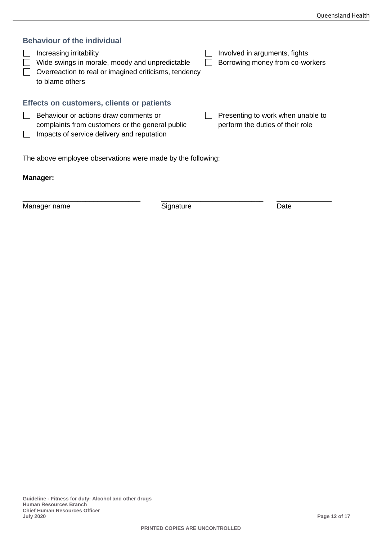| <b>Behaviour of the individual</b><br>Increasing irritability<br>Wide swings in morale, moody and unpredictable<br>Overreaction to real or imagined criticisms, tendency                               | Involved in arguments, fights<br>Borrowing money from co-workers      |
|--------------------------------------------------------------------------------------------------------------------------------------------------------------------------------------------------------|-----------------------------------------------------------------------|
| to blame others<br>Effects on customers, clients or patients<br>Behaviour or actions draw comments or<br>complaints from customers or the general public<br>Impacts of service delivery and reputation | Presenting to work when unable to<br>perform the duties of their role |
| The above employee observations were made by the following:<br>Manager:                                                                                                                                |                                                                       |

Manager name **Signature** Signature **Contact Signature** Date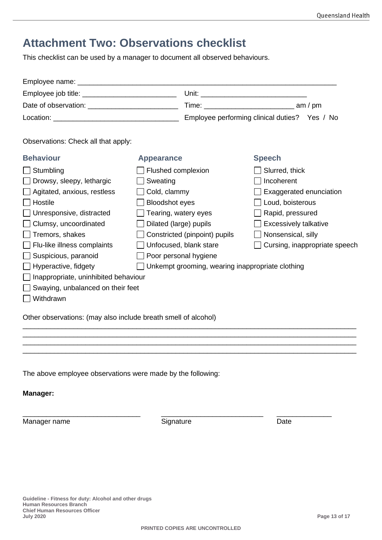# <span id="page-12-0"></span>**Attachment Two: Observations checklist**

This checklist can be used by a manager to document all observed behaviours.

| Employee name:                            |                                                                                                                           |
|-------------------------------------------|---------------------------------------------------------------------------------------------------------------------------|
|                                           | Unit:                                                                                                                     |
| Date of observation: Date of observation: | Time: when the contract of the contract of the contract of the contract of the contract of the contract of the<br>am / pm |
| Location: <u>____________________</u>     | Employee performing clinical duties? Yes / No                                                                             |

Observations: Check all that apply:

| <b>Behaviour</b>                                                           | <b>Appearance</b>             | <b>Speech</b>                 |  |  |  |
|----------------------------------------------------------------------------|-------------------------------|-------------------------------|--|--|--|
| Stumbling                                                                  | Flushed complexion            | Slurred, thick                |  |  |  |
| Drowsy, sleepy, lethargic                                                  | Sweating                      | Incoherent                    |  |  |  |
| $\Box$ Agitated, anxious, restless                                         | Cold, clammy                  | Exaggerated enunciation       |  |  |  |
| Hostile                                                                    | <b>Bloodshot eyes</b>         | Loud, boisterous              |  |  |  |
| □ Unresponsive, distracted                                                 | Tearing, watery eyes          | $\Box$ Rapid, pressured       |  |  |  |
| Clumsy, uncoordinated                                                      | Dilated (large) pupils        | Excessively talkative         |  |  |  |
| Tremors, shakes                                                            | Constricted (pinpoint) pupils | Nonsensical, silly            |  |  |  |
| Flu-like illness complaints                                                | Unfocused, blank stare        | Cursing, inappropriate speech |  |  |  |
| Suspicious, paranoid                                                       | Poor personal hygiene         |                               |  |  |  |
| Unkempt grooming, wearing inappropriate clothing<br>□ Hyperactive, fidgety |                               |                               |  |  |  |
| Inappropriate, uninhibited behaviour                                       |                               |                               |  |  |  |
| Swaying, unbalanced on their feet                                          |                               |                               |  |  |  |
| Withdrawn                                                                  |                               |                               |  |  |  |
| Other observations: (may also include breath smell of alcohol)             |                               |                               |  |  |  |

\_\_\_\_\_\_\_\_\_\_\_\_\_\_\_\_\_\_\_\_\_\_\_\_\_\_\_\_\_\_\_\_\_\_\_\_\_\_\_\_\_\_\_\_\_\_\_\_\_\_\_\_\_\_\_\_\_\_\_\_\_\_\_\_\_\_\_\_\_\_\_\_\_\_\_\_\_\_\_\_\_\_\_\_\_ \_\_\_\_\_\_\_\_\_\_\_\_\_\_\_\_\_\_\_\_\_\_\_\_\_\_\_\_\_\_\_\_\_\_\_\_\_\_\_\_\_\_\_\_\_\_\_\_\_\_\_\_\_\_\_\_\_\_\_\_\_\_\_\_\_\_\_\_\_\_\_\_\_\_\_\_\_\_\_\_\_\_\_\_\_ \_\_\_\_\_\_\_\_\_\_\_\_\_\_\_\_\_\_\_\_\_\_\_\_\_\_\_\_\_\_\_\_\_\_\_\_\_\_\_\_\_\_\_\_\_\_\_\_\_\_\_\_\_\_\_\_\_\_\_\_\_\_\_\_\_\_\_\_\_\_\_\_\_\_\_\_\_\_\_\_\_\_\_\_\_ \_\_\_\_\_\_\_\_\_\_\_\_\_\_\_\_\_\_\_\_\_\_\_\_\_\_\_\_\_\_\_\_\_\_\_\_\_\_\_\_\_\_\_\_\_\_\_\_\_\_\_\_\_\_\_\_\_\_\_\_\_\_\_\_\_\_\_\_\_\_\_\_\_\_\_\_\_\_\_\_\_\_\_\_\_

The above employee observations were made by the following:

**Manager:**

Manager name and the Signature Signature Date

\_\_\_\_\_\_\_\_\_\_\_\_\_\_\_\_\_\_\_\_\_\_\_\_\_\_\_\_\_\_ \_\_\_\_\_\_\_\_\_\_\_\_\_\_\_\_\_\_\_\_\_\_\_\_\_\_ \_\_\_\_\_\_\_\_\_\_\_\_\_\_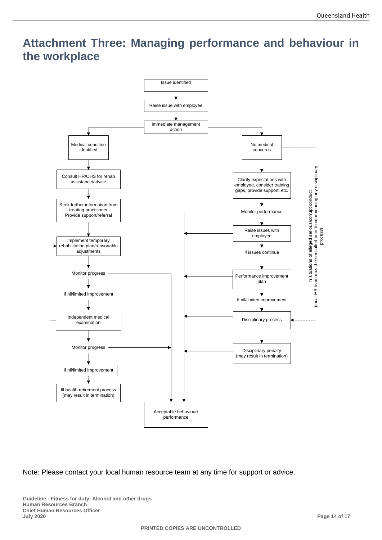# <span id="page-13-0"></span>**Attachment Three: Managing performance and behaviour in the workplace**



<span id="page-13-1"></span>Note: Please contact your local human resource team at any time for support or advice.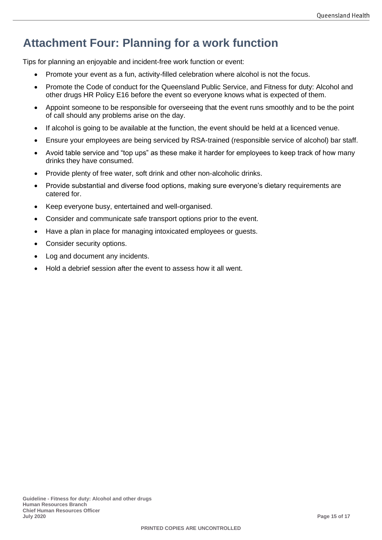# **Attachment Four: Planning for a work function**

Tips for planning an enjoyable and incident-free work function or event:

- Promote your event as a fun, activity-filled celebration where alcohol is not the focus.
- Promote the Code of conduct for the Queensland Public Service, and Fitness for duty: Alcohol and other drugs HR Policy E16 before the event so everyone knows what is expected of them.
- Appoint someone to be responsible for overseeing that the event runs smoothly and to be the point of call should any problems arise on the day.
- If alcohol is going to be available at the function, the event should be held at a licenced venue.
- Ensure your employees are being serviced by RSA-trained (responsible service of alcohol) bar staff.
- Avoid table service and "top ups" as these make it harder for employees to keep track of how many drinks they have consumed.
- Provide plenty of free water, soft drink and other non-alcoholic drinks.
- Provide substantial and diverse food options, making sure everyone's dietary requirements are catered for.
- Keep everyone busy, entertained and well-organised.
- Consider and communicate safe transport options prior to the event.
- Have a plan in place for managing intoxicated employees or guests.
- Consider security options.
- Log and document any incidents.
- Hold a debrief session after the event to assess how it all went.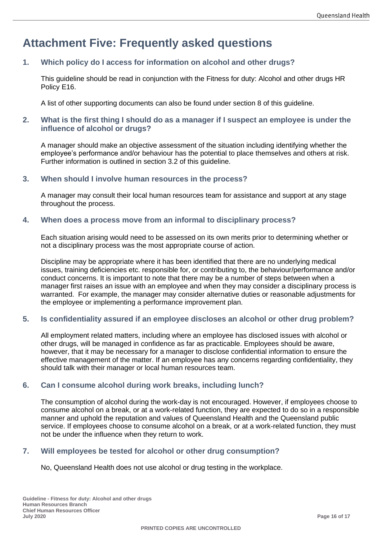# <span id="page-15-0"></span>**Attachment Five: Frequently asked questions**

### **1. Which policy do I access for information on alcohol and other drugs?**

This guideline should be read in conjunction with the Fitness for duty: Alcohol and other drugs HR Policy E16.

A list of other supporting documents can also be found under section 8 of this guideline.

#### **2. What is the first thing I should do as a manager if I suspect an employee is under the influence of alcohol or drugs?**

A manager should make an objective assessment of the situation including identifying whether the employee's performance and/or behaviour has the potential to place themselves and others at risk. Further information is outlined in section 3.2 of this guideline.

#### **3. When should I involve human resources in the process?**

A manager may consult their local human resources team for assistance and support at any stage throughout the process.

#### **4. When does a process move from an informal to disciplinary process?**

Each situation arising would need to be assessed on its own merits prior to determining whether or not a disciplinary process was the most appropriate course of action.

Discipline may be appropriate where it has been identified that there are no underlying medical issues, training deficiencies etc. responsible for, or contributing to, the behaviour/performance and/or conduct concerns. It is important to note that there may be a number of steps between when a manager first raises an issue with an employee and when they may consider a disciplinary process is warranted. For example, the manager may consider alternative duties or reasonable adjustments for the employee or implementing a performance improvement plan.

#### **5. Is confidentiality assured if an employee discloses an alcohol or other drug problem?**

All employment related matters, including where an employee has disclosed issues with alcohol or other drugs, will be managed in confidence as far as practicable. Employees should be aware, however, that it may be necessary for a manager to disclose confidential information to ensure the effective management of the matter. If an employee has any concerns regarding confidentiality, they should talk with their manager or local human resources team.

#### **6. Can I consume alcohol during work breaks, including lunch?**

The consumption of alcohol during the work-day is not encouraged. However, if employees choose to consume alcohol on a break, or at a work-related function, they are expected to do so in a responsible manner and uphold the reputation and values of Queensland Health and the Queensland public service. If employees choose to consume alcohol on a break, or at a work-related function, they must not be under the influence when they return to work.

#### **7. Will employees be tested for alcohol or other drug consumption?**

No, Queensland Health does not use alcohol or drug testing in the workplace.